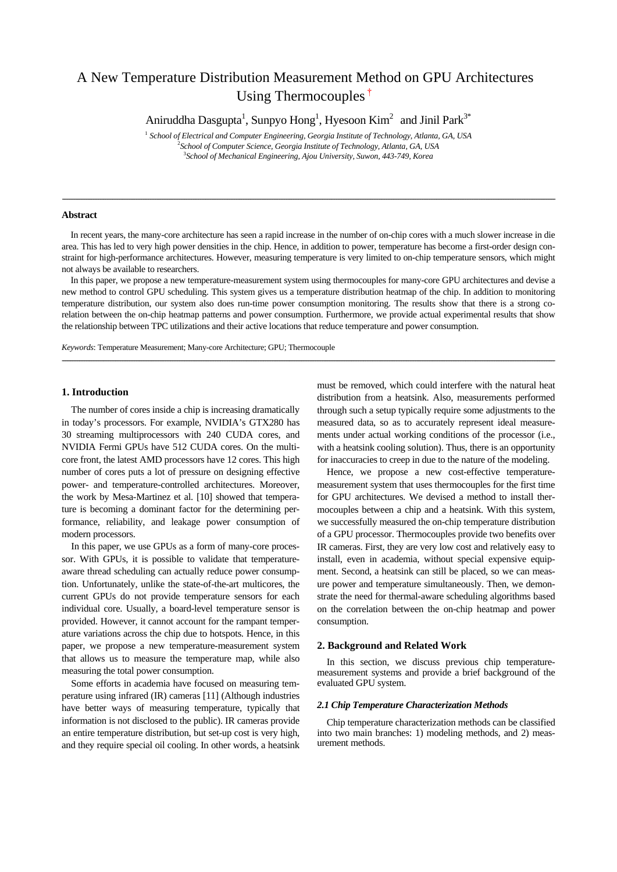# A New Temperature Distribution Measurement Method on GPU Architectures Using Thermocouples<sup>†</sup>

Aniruddha Dasgupta<sup>1</sup>, Sunpyo Hong<sup>1</sup>, Hyesoon Kim<sup>2</sup> and Jinil Park<sup>3\*</sup>

<sup>1</sup> *School of Electrical and Computer Engineering, Georgia Institute of Technology, Atlanta, GA, USA* 2 *School of Computer Science, Georgia Institute of Technology, Atlanta, GA, USA* 3 *School of Mechanical Engineering, Ajou University, Suwon, 443-749, Korea*

## **Abstract**

In recent years, the many-core architecture has seen a rapid increase in the number of on-chip cores with a much slower increase in die area. This has led to very high power densities in the chip. Hence, in addition to power, temperature has become a first-order design constraint for high-performance architectures. However, measuring temperature is very limited to on-chip temperature sensors, which might not always be available to researchers.

----------------------------------------------------------------------------------------------------------------------------------------------------------------------------------------------------------------------------------------------------------------------------------------------

In this paper, we propose a new temperature-measurement system using thermocouples for many-core GPU architectures and devise a new method to control GPU scheduling. This system gives us a temperature distribution heatmap of the chip. In addition to monitoring temperature distribution, our system also does run-time power consumption monitoring. The results show that there is a strong corelation between the on-chip heatmap patterns and power consumption. Furthermore, we provide actual experimental results that show the relationship between TPC utilizations and their active locations that reduce temperature and power consumption.

*----------------------------------------------------------------------------------------------------------------------------------------------------------------------------------------------------------------------------------------------------------------------------------------------*

*Keywords*: Temperature Measurement; Many-core Architecture; GPU; Thermocouple

## **1. Introduction**

The number of cores inside a chip is increasing dramatically in today's processors. For example, NVIDIA's GTX280 has 30 streaming multiprocessors with 240 CUDA cores, and NVIDIA Fermi GPUs have 512 CUDA cores. On the multicore front, the latest AMD processors have 12 cores. This high number of cores puts a lot of pressure on designing effective power- and temperature-controlled architectures. Moreover, the work by Mesa-Martinez et al. [10] showed that temperature is becoming a dominant factor for the determining performance, reliability, and leakage power consumption of modern processors.

In this paper, we use GPUs as a form of many-core processor. With GPUs, it is possible to validate that temperatureaware thread scheduling can actually reduce power consumption. Unfortunately, unlike the state-of-the-art multicores, the current GPUs do not provide temperature sensors for each individual core. Usually, a board-level temperature sensor is provided. However, it cannot account for the rampant temperature variations across the chip due to hotspots. Hence, in this paper, we propose a new temperature-measurement system that allows us to measure the temperature map, while also measuring the total power consumption.

Some efforts in academia have focused on measuring temperature using infrared (IR) cameras [11] (Although industries have better ways of measuring temperature, typically that information is not disclosed to the public). IR cameras provide an entire temperature distribution, but set-up cost is very high, and they require special oil cooling. In other words, a heatsink

must be removed, which could interfere with the natural heat distribution from a heatsink. Also, measurements performed through such a setup typically require some adjustments to the measured data, so as to accurately represent ideal measurements under actual working conditions of the processor (i.e., with a heatsink cooling solution). Thus, there is an opportunity for inaccuracies to creep in due to the nature of the modeling.

Hence, we propose a new cost-effective temperaturemeasurement system that uses thermocouples for the first time for GPU architectures. We devised a method to install thermocouples between a chip and a heatsink. With this system, we successfully measured the on-chip temperature distribution of a GPU processor. Thermocouples provide two benefits over IR cameras. First, they are very low cost and relatively easy to install, even in academia, without special expensive equipment. Second, a heatsink can still be placed, so we can measure power and temperature simultaneously. Then, we demonstrate the need for thermal-aware scheduling algorithms based on the correlation between the on-chip heatmap and power consumption.

## **2. Background and Related Work**

In this section, we discuss previous chip temperaturemeasurement systems and provide a brief background of the evaluated GPU system.

#### *2.1 Chip Temperature Characterization Methods*

Chip temperature characterization methods can be classified into two main branches: 1) modeling methods, and 2) measurement methods.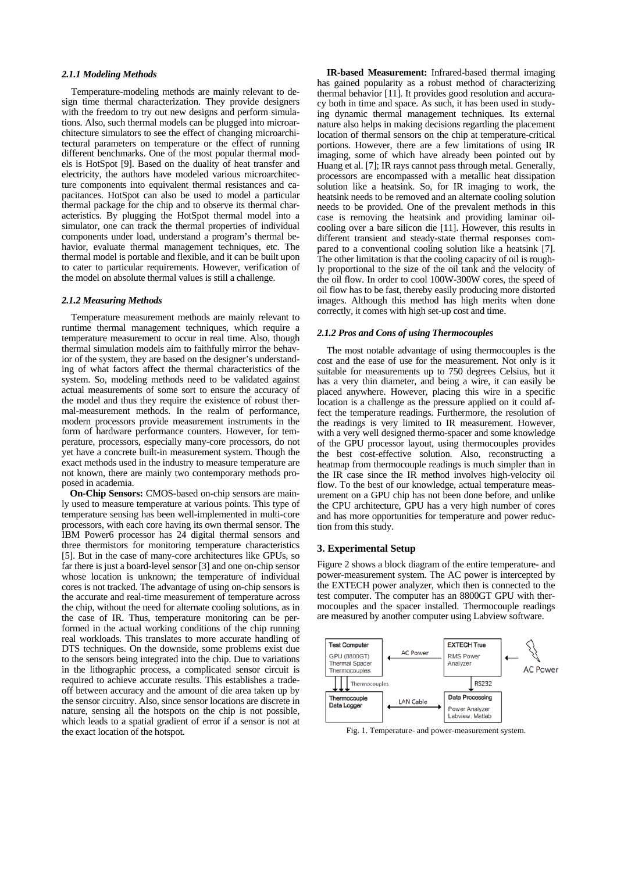#### *2.1.1 Modeling Methods*

Temperature-modeling methods are mainly relevant to design time thermal characterization. They provide designers with the freedom to try out new designs and perform simulations. Also, such thermal models can be plugged into microarchitecture simulators to see the effect of changing microarchitectural parameters on temperature or the effect of running different benchmarks. One of the most popular thermal models is HotSpot [9]. Based on the duality of heat transfer and electricity, the authors have modeled various microarchitecture components into equivalent thermal resistances and capacitances. HotSpot can also be used to model a particular thermal package for the chip and to observe its thermal characteristics. By plugging the HotSpot thermal model into a simulator, one can track the thermal properties of individual components under load, understand a program's thermal behavior, evaluate thermal management techniques, etc. The thermal model is portable and flexible, and it can be built upon to cater to particular requirements. However, verification of the model on absolute thermal values is still a challenge.

# *2.1.2 Measuring Methods*

Temperature measurement methods are mainly relevant to runtime thermal management techniques, which require a temperature measurement to occur in real time. Also, though thermal simulation models aim to faithfully mirror the behavior of the system, they are based on the designer's understanding of what factors affect the thermal characteristics of the system. So, modeling methods need to be validated against actual measurements of some sort to ensure the accuracy of the model and thus they require the existence of robust thermal-measurement methods. In the realm of performance, modern processors provide measurement instruments in the form of hardware performance counters. However, for temperature, processors, especially many-core processors, do not yet have a concrete built-in measurement system. Though the exact methods used in the industry to measure temperature are not known, there are mainly two contemporary methods proposed in academia.

**On-Chip Sensors:** CMOS-based on-chip sensors are mainly used to measure temperature at various points. This type of temperature sensing has been well-implemented in multi-core processors, with each core having its own thermal sensor. The IBM Power6 processor has 24 digital thermal sensors and three thermistors for monitoring temperature characteristics [5]. But in the case of many-core architectures like GPUs, so far there is just a board-level sensor [3] and one on-chip sensor whose location is unknown; the temperature of individual cores is not tracked. The advantage of using on-chip sensors is the accurate and real-time measurement of temperature across the chip, without the need for alternate cooling solutions, as in the case of IR. Thus, temperature monitoring can be performed in the actual working conditions of the chip running real workloads. This translates to more accurate handling of DTS techniques. On the downside, some problems exist due to the sensors being integrated into the chip. Due to variations in the lithographic process, a complicated sensor circuit is required to achieve accurate results. This establishes a tradeoff between accuracy and the amount of die area taken up by the sensor circuitry. Also, since sensor locations are discrete in nature, sensing all the hotspots on the chip is not possible, which leads to a spatial gradient of error if a sensor is not at the exact location of the hotspot.

**IR-based Measurement:** Infrared-based thermal imaging has gained popularity as a robust method of characterizing thermal behavior [11]. It provides good resolution and accuracy both in time and space. As such, it has been used in studying dynamic thermal management techniques. Its external nature also helps in making decisions regarding the placement location of thermal sensors on the chip at temperature-critical portions. However, there are a few limitations of using IR imaging, some of which have already been pointed out by Huang et al. [7]; IR rays cannot pass through metal. Generally, processors are encompassed with a metallic heat dissipation solution like a heatsink. So, for IR imaging to work, the heatsink needs to be removed and an alternate cooling solution needs to be provided. One of the prevalent methods in this case is removing the heatsink and providing laminar oilcooling over a bare silicon die [11]. However, this results in different transient and steady-state thermal responses compared to a conventional cooling solution like a heatsink [7]. The other limitation is that the cooling capacity of oil is roughly proportional to the size of the oil tank and the velocity of the oil flow. In order to cool 100W-300W cores, the speed of oil flow has to be fast, thereby easily producing more distorted images. Although this method has high merits when done correctly, it comes with high set-up cost and time.

## *2.1.2 Pros and Cons of using Thermocouples*

The most notable advantage of using thermocouples is the cost and the ease of use for the measurement. Not only is it suitable for measurements up to 750 degrees Celsius, but it has a very thin diameter, and being a wire, it can easily be placed anywhere. However, placing this wire in a specific location is a challenge as the pressure applied on it could affect the temperature readings. Furthermore, the resolution of the readings is very limited to IR measurement. However, with a very well designed thermo-spacer and some knowledge of the GPU processor layout, using thermocouples provides the best cost-effective solution. Also, reconstructing a heatmap from thermocouple readings is much simpler than in the IR case since the IR method involves high-velocity oil flow. To the best of our knowledge, actual temperature measurement on a GPU chip has not been done before, and unlike the CPU architecture, GPU has a very high number of cores and has more opportunities for temperature and power reduction from this study.

## **3. Experimental Setup**

Figure 2 shows a block diagram of the entire temperature- and power-measurement system. The AC power is intercepted by the EXTECH power analyzer, which then is connected to the test computer. The computer has an 8800GT GPU with thermocouples and the spacer installed. Thermocouple readings are measured by another computer using Labview software.



Fig. 1. Temperature- and power-measurement system.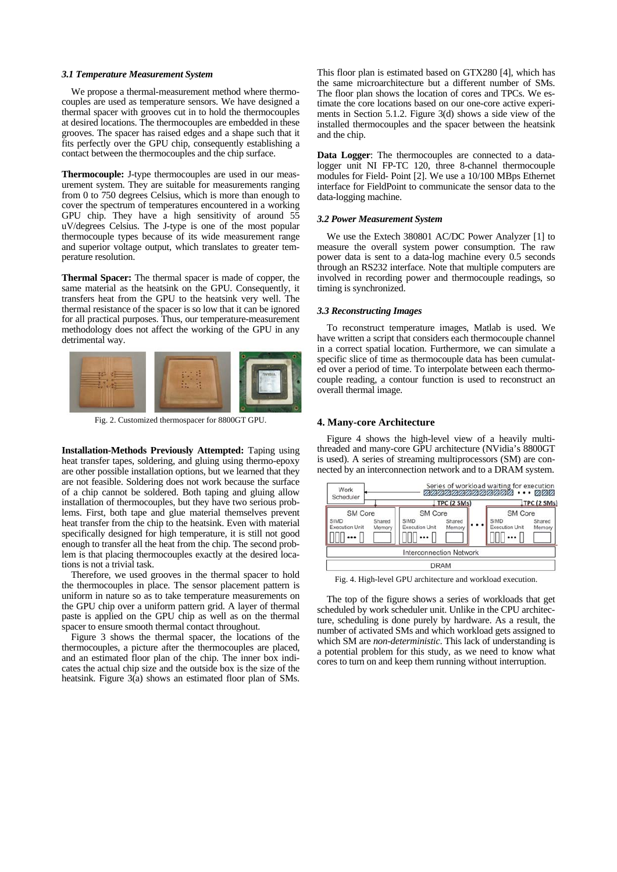#### *3.1 Temperature Measurement System*

We propose a thermal-measurement method where thermocouples are used as temperature sensors. We have designed a thermal spacer with grooves cut in to hold the thermocouples at desired locations. The thermocouples are embedded in these grooves. The spacer has raised edges and a shape such that it fits perfectly over the GPU chip, consequently establishing a contact between the thermocouples and the chip surface.

**Thermocouple:** J-type thermocouples are used in our measurement system. They are suitable for measurements ranging from 0 to 750 degrees Celsius, which is more than enough to cover the spectrum of temperatures encountered in a working GPU chip. They have a high sensitivity of around 55 uV/degrees Celsius. The J-type is one of the most popular thermocouple types because of its wide measurement range and superior voltage output, which translates to greater temperature resolution.

**Thermal Spacer:** The thermal spacer is made of copper, the same material as the heatsink on the GPU. Consequently, it transfers heat from the GPU to the heatsink very well. The thermal resistance of the spacer is so low that it can be ignored for all practical purposes. Thus, our temperature-measurement methodology does not affect the working of the GPU in any detrimental way.



Fig. 2. Customized thermospacer for 8800GT GPU.

**Installation-Methods Previously Attempted:** Taping using heat transfer tapes, soldering, and gluing using thermo-epoxy are other possible installation options, but we learned that they are not feasible. Soldering does not work because the surface of a chip cannot be soldered. Both taping and gluing allow installation of thermocouples, but they have two serious problems. First, both tape and glue material themselves prevent heat transfer from the chip to the heatsink. Even with material specifically designed for high temperature, it is still not good enough to transfer all the heat from the chip. The second problem is that placing thermocouples exactly at the desired locations is not a trivial task.

Therefore, we used grooves in the thermal spacer to hold the thermocouples in place. The sensor placement pattern is uniform in nature so as to take temperature measurements on the GPU chip over a uniform pattern grid. A layer of thermal paste is applied on the GPU chip as well as on the thermal spacer to ensure smooth thermal contact throughout.

Figure 3 shows the thermal spacer, the locations of the thermocouples, a picture after the thermocouples are placed, and an estimated floor plan of the chip. The inner box indicates the actual chip size and the outside box is the size of the heatsink. Figure 3(a) shows an estimated floor plan of SMs. This floor plan is estimated based on GTX280 [4], which has the same microarchitecture but a different number of SMs. The floor plan shows the location of cores and TPCs. We estimate the core locations based on our one-core active experiments in Section 5.1.2. Figure 3(d) shows a side view of the installed thermocouples and the spacer between the heatsink and the chip.

**Data Logger**: The thermocouples are connected to a datalogger unit NI FP-TC 120, three 8-channel thermocouple modules for Field- Point [2]. We use a 10/100 MBps Ethernet interface for FieldPoint to communicate the sensor data to the data-logging machine.

#### *3.2 Power Measurement System*

We use the Extech 380801 AC/DC Power Analyzer [1] to measure the overall system power consumption. The raw power data is sent to a data-log machine every 0.5 seconds through an RS232 interface. Note that multiple computers are involved in recording power and thermocouple readings, so timing is synchronized.

## *3.3 Reconstructing Images*

To reconstruct temperature images, Matlab is used. We have written a script that considers each thermocouple channel in a correct spatial location. Furthermore, we can simulate a specific slice of time as thermocouple data has been cumulated over a period of time. To interpolate between each thermocouple reading, a contour function is used to reconstruct an overall thermal image.

#### **4. Many-core Architecture**

Figure 4 shows the high-level view of a heavily multithreaded and many-core GPU architecture (NVidia's 8800GT is used). A series of streaming multiprocessors (SM) are connected by an interconnection network and to a DRAM system.

| Work<br>Scheduler                                      | TPC (2 SMs)<br>TPC (2 SMs) |                                                        |                  |  |                                                 |                  |  |
|--------------------------------------------------------|----------------------------|--------------------------------------------------------|------------------|--|-------------------------------------------------|------------------|--|
| <b>SM Core</b><br><b>SIMD</b><br><b>Execution Unit</b> | Shared<br>Memory           | <b>SM Core</b><br><b>SIMD</b><br><b>Execution Unit</b> | Shared<br>Memory |  | SM Core<br><b>SIMD</b><br><b>Execution Unit</b> | Shared<br>Memory |  |
|                                                        |                            | <b>Interconnection Network</b>                         | <b>DRAM</b>      |  |                                                 |                  |  |

Fig. 4. High-level GPU architecture and workload execution.

The top of the figure shows a series of workloads that get scheduled by work scheduler unit. Unlike in the CPU architecture, scheduling is done purely by hardware. As a result, the number of activated SMs and which workload gets assigned to which SM are *non-deterministic*. This lack of understanding is a potential problem for this study, as we need to know what cores to turn on and keep them running without interruption.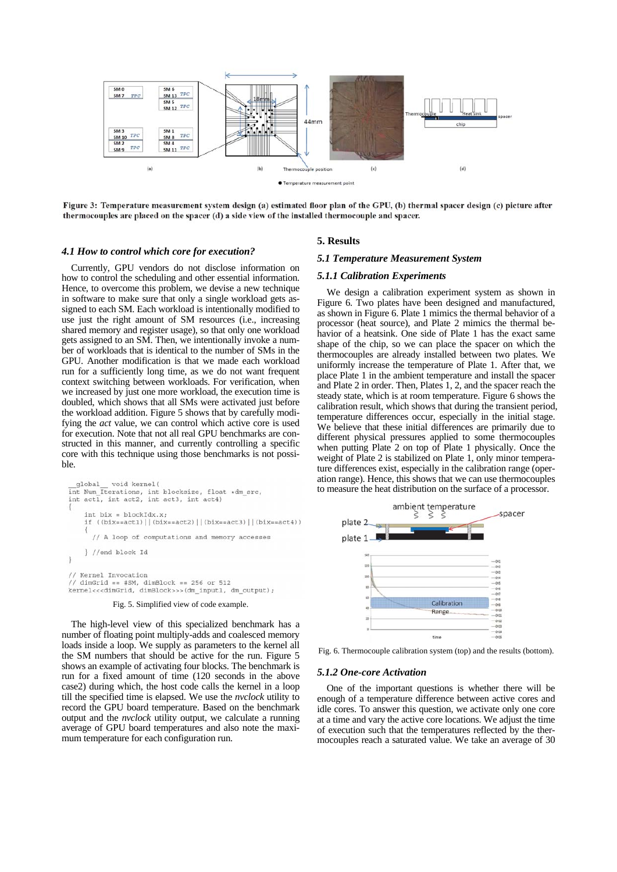

Figure 3: Temperature measurement system design (a) estimated floor plan of the GPU, (b) thermal spacer design (c) picture after thermocouples are placed on the spacer (d) a side view of the installed thermocouple and spacer.

#### *4.1 How to control which core for execution?*

Currently, GPU vendors do not disclose information on how to control the scheduling and other essential information. Hence, to overcome this problem, we devise a new technique in software to make sure that only a single workload gets assigned to each SM. Each workload is intentionally modified to use just the right amount of SM resources (i.e., increasing shared memory and register usage), so that only one workload gets assigned to an SM. Then, we intentionally invoke a number of workloads that is identical to the number of SMs in the GPU. Another modification is that we made each workload run for a sufficiently long time, as we do not want frequent context switching between workloads. For verification, when we increased by just one more workload, the execution time is doubled, which shows that all SMs were activated just before the workload addition. Figure 5 shows that by carefully modifying the *act* value, we can control which active core is used for execution. Note that not all real GPU benchmarks are constructed in this manner, and currently controlling a specific core with this technique using those benchmarks is not possible.

```
global
          void kernel(
int Num_Iterations, int blocksize, float *dm_src,
int act1, int act2, int act3, int act4)
    int bix = blockidx.x;
    if ((bix==act1) | | (bix==act2) | | (bix==act3) | | (bix==act4) )
      // A loop of computations and memory accesses
    } //end block Id
\mathbf{1}// Kernel Invocation
// dimGrid == #SM, dimBlock == 256 or 512
kernel<<<dimGrid, dimBlock>>>(dm_input1, dm_output);
```
# Fig. 5. Simplified view of code example.

The high-level view of this specialized benchmark has a number of floating point multiply-adds and coalesced memory loads inside a loop. We supply as parameters to the kernel all the SM numbers that should be active for the run. Figure 5 shows an example of activating four blocks. The benchmark is run for a fixed amount of time (120 seconds in the above case2) during which, the host code calls the kernel in a loop till the specified time is elapsed. We use the *nvclock* utility to record the GPU board temperature. Based on the benchmark output and the *nvclock* utility output, we calculate a running average of GPU board temperatures and also note the maximum temperature for each configuration run.

## **5. Results**

## *5.1 Temperature Measurement System*

#### *5.1.1 Calibration Experiments*

We design a calibration experiment system as shown in Figure 6. Two plates have been designed and manufactured, as shown in Figure 6. Plate 1 mimics the thermal behavior of a processor (heat source), and Plate 2 mimics the thermal behavior of a heatsink. One side of Plate 1 has the exact same shape of the chip, so we can place the spacer on which the thermocouples are already installed between two plates. We uniformly increase the temperature of Plate 1. After that, we place Plate 1 in the ambient temperature and install the spacer and Plate 2 in order. Then, Plates 1, 2, and the spacer reach the steady state, which is at room temperature. Figure 6 shows the calibration result, which shows that during the transient period, temperature differences occur, especially in the initial stage. We believe that these initial differences are primarily due to different physical pressures applied to some thermocouples when putting Plate 2 on top of Plate 1 physically. Once the weight of Plate 2 is stabilized on Plate 1, only minor temperature differences exist, especially in the calibration range (operation range). Hence, this shows that we can use thermocouples to measure the heat distribution on the surface of a processor.



Fig. 6. Thermocouple calibration system (top) and the results (bottom).

#### *5.1.2 One-core Activation*

One of the important questions is whether there will be enough of a temperature difference between active cores and idle cores. To answer this question, we activate only one core at a time and vary the active core locations. We adjust the time of execution such that the temperatures reflected by the thermocouples reach a saturated value. We take an average of 30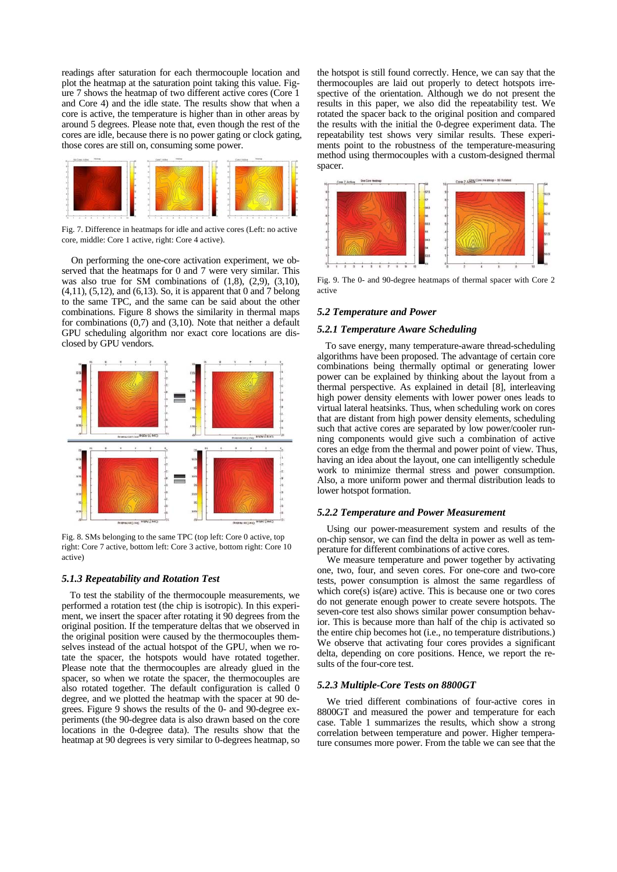readings after saturation for each thermocouple location and plot the heatmap at the saturation point taking this value. Figure 7 shows the heatmap of two different active cores (Core 1 and Core 4) and the idle state. The results show that when a core is active, the temperature is higher than in other areas by around 5 degrees. Please note that, even though the rest of the cores are idle, because there is no power gating or clock gating, those cores are still on, consuming some power.



Fig. 7. Difference in heatmaps for idle and active cores (Left: no active core, middle: Core 1 active, right: Core 4 active).

On performing the one-core activation experiment, we observed that the heatmaps for 0 and 7 were very similar. This was also true for SM combinations of  $(1,8)$ ,  $(2,9)$ ,  $(3,10)$ , (4,11), (5,12), and (6,13). So, it is apparent that 0 and 7 belong to the same TPC, and the same can be said about the other combinations. Figure 8 shows the similarity in thermal maps for combinations (0,7) and (3,10). Note that neither a default GPU scheduling algorithm nor exact core locations are disclosed by GPU vendors.



Fig. 8. SMs belonging to the same TPC (top left: Core 0 active, top right: Core 7 active, bottom left: Core 3 active, bottom right: Core 10 active)

#### *5.1.3 Repeatability and Rotation Test*

To test the stability of the thermocouple measurements, we performed a rotation test (the chip is isotropic). In this experiment, we insert the spacer after rotating it 90 degrees from the original position. If the temperature deltas that we observed in the original position were caused by the thermocouples themselves instead of the actual hotspot of the GPU, when we rotate the spacer, the hotspots would have rotated together. Please note that the thermocouples are already glued in the spacer, so when we rotate the spacer, the thermocouples are also rotated together. The default configuration is called 0 degree, and we plotted the heatmap with the spacer at 90 degrees. Figure 9 shows the results of the 0- and 90-degree experiments (the 90-degree data is also drawn based on the core locations in the 0-degree data). The results show that the heatmap at 90 degrees is very similar to 0-degrees heatmap, so the hotspot is still found correctly. Hence, we can say that the thermocouples are laid out properly to detect hotspots irrespective of the orientation. Although we do not present the results in this paper, we also did the repeatability test. We rotated the spacer back to the original position and compared the results with the initial the 0-degree experiment data. The repeatability test shows very similar results. These experiments point to the robustness of the temperature-measuring method using thermocouples with a custom-designed thermal spacer.



Fig. 9. The 0- and 90-degree heatmaps of thermal spacer with Core 2. active

## *5.2 Temperature and Power*

#### *5.2.1 Temperature Aware Scheduling*

To save energy, many temperature-aware thread-scheduling algorithms have been proposed. The advantage of certain core combinations being thermally optimal or generating lower power can be explained by thinking about the layout from a thermal perspective. As explained in detail [8], interleaving high power density elements with lower power ones leads to virtual lateral heatsinks. Thus, when scheduling work on cores that are distant from high power density elements, scheduling such that active cores are separated by low power/cooler running components would give such a combination of active cores an edge from the thermal and power point of view. Thus, having an idea about the layout, one can intelligently schedule work to minimize thermal stress and power consumption. Also, a more uniform power and thermal distribution leads to lower hotspot formation.

#### *5.2.2 Temperature and Power Measurement*

Using our power-measurement system and results of the on-chip sensor, we can find the delta in power as well as temperature for different combinations of active cores.

We measure temperature and power together by activating one, two, four, and seven cores. For one-core and two-core tests, power consumption is almost the same regardless of which core(s) is(are) active. This is because one or two cores do not generate enough power to create severe hotspots. The seven-core test also shows similar power consumption behavior. This is because more than half of the chip is activated so the entire chip becomes hot (i.e., no temperature distributions.) We observe that activating four cores provides a significant delta, depending on core positions. Hence, we report the results of the four-core test.

## *5.2.3 Multiple-Core Tests on 8800GT*

We tried different combinations of four-active cores in 8800GT and measured the power and temperature for each case. Table 1 summarizes the results, which show a strong correlation between temperature and power. Higher temperature consumes more power. From the table we can see that the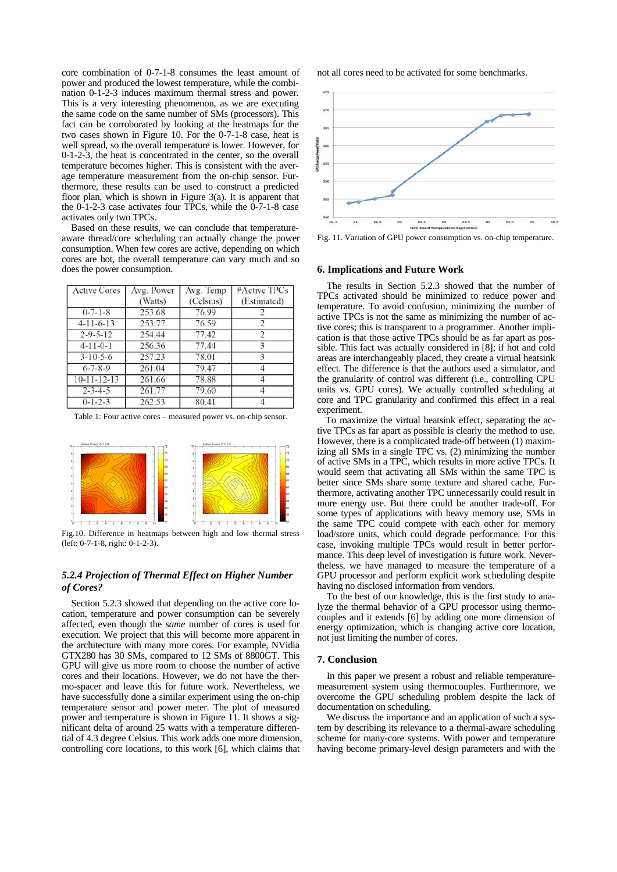core combination of 0-7-1-8 consumes the least amount of power and produced the lowest temperature, while the combination 0-1-2-3 induces maximum thermal stress and power. This is a very interesting phenomenon, as we are executing the same code on the same number of SMs (processors). This fact can be corroborated by looking at the heatmaps for the two cases shown in Figure 10. For the 0-7-1-8 case, heat is well spread, so the overall temperature is lower. However, for 0-1-2-3, the heat is concentrated in the center, so the overall temperature becomes higher. This is consistent with the average temperature measurement from the on-chip sensor. Furthermore, these results can be used to construct a predicted floor plan, which is shown in Figure 3(a). It is apparent that the 0-1-2-3 case activates four TPCs, while the 0-7-1-8 case activates only two TPCs.

Based on these results, we can conclude that temperatureaware thread/core scheduling can actually change the power consumption. When few cores are active, depending on which cores are hot, the overall temperature can vary much and so does the power consumption.

| <b>Active Cores</b> | Avg. Power<br>(Watts) | Avg. Temp<br>(Celsius) | #Active TPCs<br>(Estimated) |
|---------------------|-----------------------|------------------------|-----------------------------|
| $0 - 7 - 1 - 8$     | 253.68                | 76.99                  |                             |
| $4-11-6-13$         | 253.77                | 76.59                  |                             |
| $2 - 9 - 5 - 12$    | 254.44                | 77.42                  |                             |
| $4-11-0-1$          | 256.36                | 77.44                  |                             |
| $3 - 10 - 5 - 6$    | 257.23                | 78.01                  |                             |
| $6 - 7 - 8 - 9$     | 261.04                | 79.47                  |                             |
| $10 - 11 - 12 - 13$ | 261.66                | 78.88                  |                             |
| $2 - 3 - 4 - 5$     | 261.77                | 79.60                  |                             |
| $0 - 1 - 2 - 3$     | 262.53                | 80.41                  |                             |

Table 1: Four active cores – measured power vs. on-chip sensor.



Fig.10. Difference in heatmaps between high and low thermal stress (left: 0-7-1-8, right: 0-1-2-3).

## *5.2.4 Projection of Thermal Effect on Higher Number of Cores?*

Section 5.2.3 showed that depending on the active core location, temperature and power consumption can be severely affected, even though the *same* number of cores is used for execution. We project that this will become more apparent in the architecture with many more cores. For example, NVidia GTX280 has 30 SMs, compared to 12 SMs of 8800GT. This GPU will give us more room to choose the number of active cores and their locations. However, we do not have the thermo-spacer and leave this for future work. Nevertheless, we have successfully done a similar experiment using the on-chip temperature sensor and power meter. The plot of measured power and temperature is shown in Figure 11. It shows a significant delta of around 25 watts with a temperature differential of 4.3 degree Celsius. This work adds one more dimension, controlling core locations, to this work [6], which claims that

not all cores need to be activated for some benchmarks.



Fig. 11. Variation of GPU power consumption vs. on-chip temperature.

#### **6. Implications and Future Work**

The results in Section 5.2.3 showed that the number of TPCs activated should be minimized to reduce power and temperature. To avoid confusion, minimizing the number of active TPCs is not the same as minimizing the number of active cores; this is transparent to a programmer. Another implication is that those active TPCs should be as far apart as possible. This fact was actually considered in [8]; if hot and cold areas are interchangeably placed, they create a virtual heatsink effect. The difference is that the authors used a simulator, and the granularity of control was different (i.e., controlling CPU units vs. GPU cores). We actually controlled scheduling at core and TPC granularity and confirmed this effect in a real experiment.

To maximize the virtual heatsink effect, separating the active TPCs as far apart as possible is clearly the method to use. However, there is a complicated trade-off between (1) maximizing all SMs in a single TPC vs. (2) minimizing the number of active SMs in a TPC, which results in more active TPCs. It would seem that activating all SMs within the same TPC is better since SMs share some texture and shared cache. Furthermore, activating another TPC unnecessarily could result in more energy use. But there could be another trade-off. For some types of applications with heavy memory use, SMs in the same TPC could compete with each other for memory load/store units, which could degrade performance. For this case, invoking multiple TPCs would result in better performance. This deep level of investigation is future work. Nevertheless, we have managed to measure the temperature of a GPU processor and perform explicit work scheduling despite having no disclosed information from vendors.

To the best of our knowledge, this is the first study to analyze the thermal behavior of a GPU processor using thermocouples and it extends [6] by adding one more dimension of energy optimization, which is changing active core location, not just limiting the number of cores.

#### **7. Conclusion**

In this paper we present a robust and reliable temperaturemeasurement system using thermocouples. Furthermore, we overcome the GPU scheduling problem despite the lack of documentation on scheduling.

We discuss the importance and an application of such a system by describing its relevance to a thermal-aware scheduling scheme for many-core systems. With power and temperature having become primary-level design parameters and with the